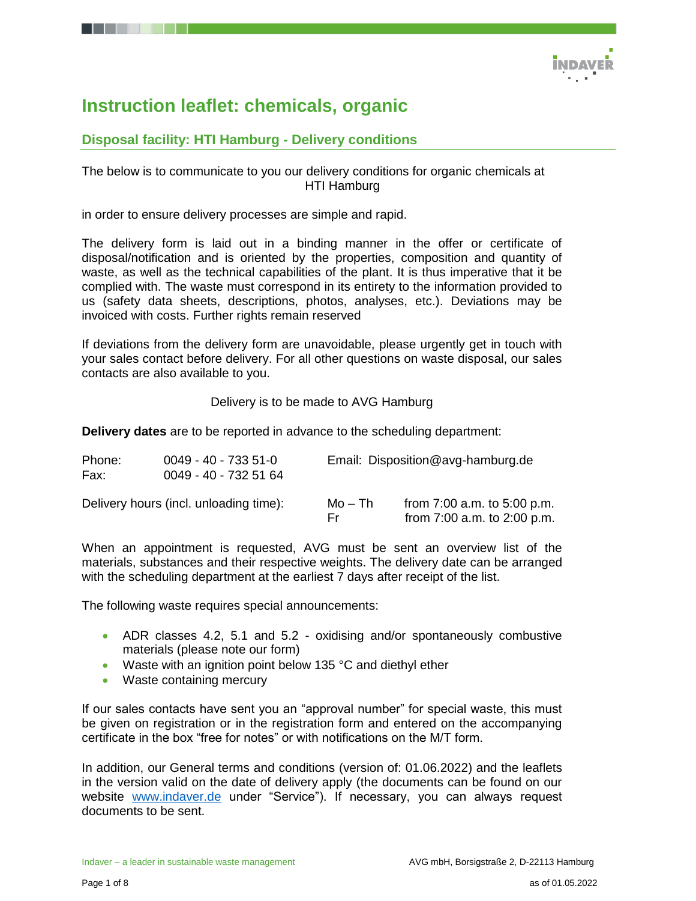

## **Instruction leaflet: chemicals, organic**

## **Disposal facility: HTI Hamburg - Delivery conditions**

#### The below is to communicate to you our delivery conditions for organic chemicals at HTI Hamburg

in order to ensure delivery processes are simple and rapid.

The delivery form is laid out in a binding manner in the offer or certificate of disposal/notification and is oriented by the properties, composition and quantity of waste, as well as the technical capabilities of the plant. It is thus imperative that it be complied with. The waste must correspond in its entirety to the information provided to us (safety data sheets, descriptions, photos, analyses, etc.). Deviations may be invoiced with costs. Further rights remain reserved

If deviations from the delivery form are unavoidable, please urgently get in touch with your sales contact before delivery. For all other questions on waste disposal, our sales contacts are also available to you.

Delivery is to be made to AVG Hamburg

**Delivery dates** are to be reported in advance to the scheduling department:

| Phone:<br>Fax: | $0049 - 40 - 7335 - 51 - 0$<br>0049 - 40 - 732 51 64 |                | Email: Disposition@avg-hamburg.de                              |  |  |  |  |
|----------------|------------------------------------------------------|----------------|----------------------------------------------------------------|--|--|--|--|
|                | Delivery hours (incl. unloading time):               | Mo – Th<br>Fr. | from $7:00$ a.m. to $5:00$ p.m.<br>from 7:00 a.m. to 2:00 p.m. |  |  |  |  |

When an appointment is requested, AVG must be sent an overview list of the materials, substances and their respective weights. The delivery date can be arranged with the scheduling department at the earliest 7 days after receipt of the list.

The following waste requires special announcements:

- ADR classes 4.2, 5.1 and 5.2 oxidising and/or spontaneously combustive materials (please note our form)
- Waste with an ignition point below 135 °C and diethyl ether
- Waste containing mercury

If our sales contacts have sent you an "approval number" for special waste, this must be given on registration or in the registration form and entered on the accompanying certificate in the box "free for notes" or with notifications on the M/T form.

In addition, our General terms and conditions (version of: 01.06.2022) and the leaflets in the version valid on the date of delivery apply (the documents can be found on our website [www.indaver.de](http://www.indaver.de/) under "Service"). If necessary, you can always request documents to be sent.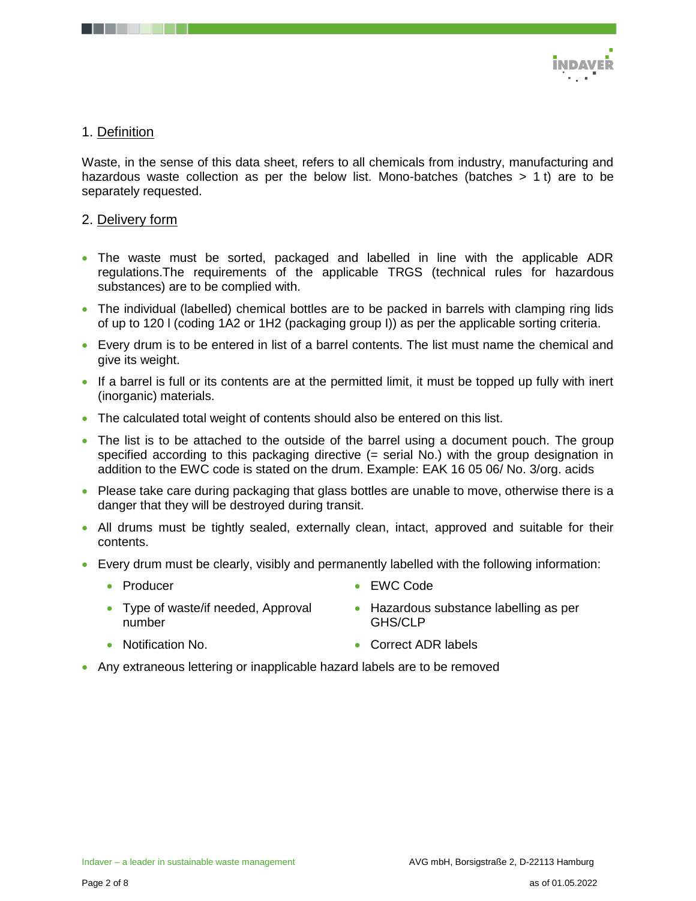

#### 1. Definition

Waste, in the sense of this data sheet, refers to all chemicals from industry, manufacturing and hazardous waste collection as per the below list. Mono-batches (batches  $> 1$  t) are to be separately requested.

#### 2. Delivery form

- The waste must be sorted, packaged and labelled in line with the applicable ADR regulations.The requirements of the applicable TRGS (technical rules for hazardous substances) are to be complied with.
- The individual (labelled) chemical bottles are to be packed in barrels with clamping ring lids of up to 120 l (coding 1A2 or 1H2 (packaging group I)) as per the applicable sorting criteria.
- Every drum is to be entered in list of a barrel contents. The list must name the chemical and give its weight.
- If a barrel is full or its contents are at the permitted limit, it must be topped up fully with inert (inorganic) materials.
- The calculated total weight of contents should also be entered on this list.
- The list is to be attached to the outside of the barrel using a document pouch. The group specified according to this packaging directive (= serial No.) with the group designation in addition to the EWC code is stated on the drum. Example: EAK 16 05 06/ No. 3/org. acids
- Please take care during packaging that glass bottles are unable to move, otherwise there is a danger that they will be destroyed during transit.
- All drums must be tightly sealed, externally clean, intact, approved and suitable for their contents.
- Every drum must be clearly, visibly and permanently labelled with the following information:
	- Producer
- EWC Code
- Type of waste/if needed, Approval number
- Hazardous substance labelling as per GHS/CLP
- Notification No. • Correct ADR labels
- Any extraneous lettering or inapplicable hazard labels are to be removed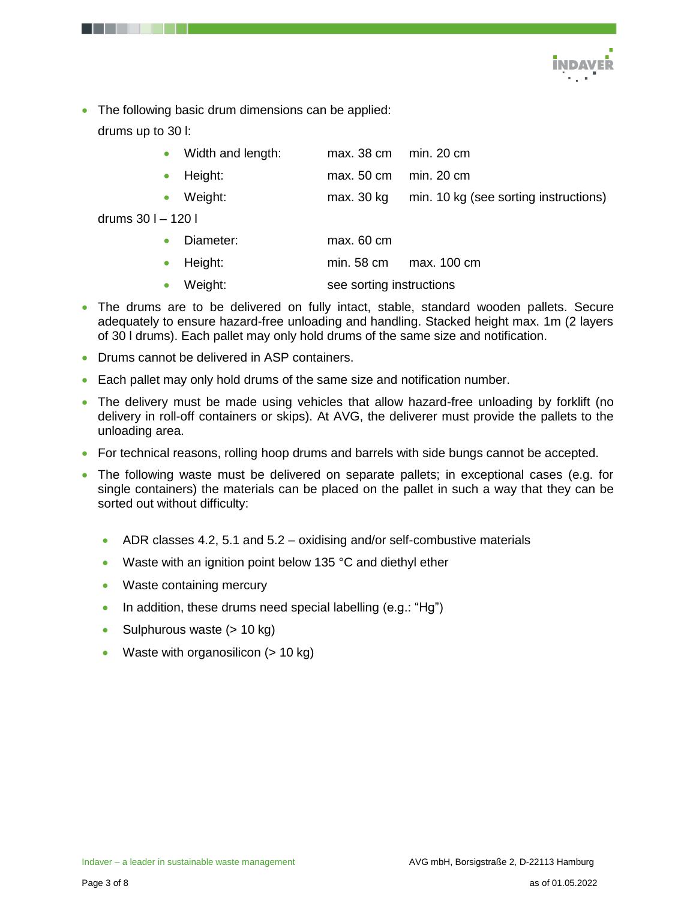

• The following basic drum dimensions can be applied: drums up to 30 l:

• Width and length: max. 38 cm min. 20 cm

- Height: max. 50 cm min. 20 cm
- Weight: max. 30 kg min. 10 kg (see sorting instructions)
- drums 30 l 120 l

| Diameter:<br>max. 60 cm |  |
|-------------------------|--|
|-------------------------|--|

- Height: min. 58 cm max. 100 cm
- Weight: see sorting instructions
- The drums are to be delivered on fully intact, stable, standard wooden pallets. Secure adequately to ensure hazard-free unloading and handling. Stacked height max. 1m (2 layers of 30 l drums). Each pallet may only hold drums of the same size and notification.
- Drums cannot be delivered in ASP containers.
- Each pallet may only hold drums of the same size and notification number.
- The delivery must be made using vehicles that allow hazard-free unloading by forklift (no delivery in roll-off containers or skips). At AVG, the deliverer must provide the pallets to the unloading area.
- For technical reasons, rolling hoop drums and barrels with side bungs cannot be accepted.
- The following waste must be delivered on separate pallets; in exceptional cases (e.g. for single containers) the materials can be placed on the pallet in such a way that they can be sorted out without difficulty:
	- $\bullet$  ADR classes 4.2, 5.1 and 5.2 oxidising and/or self-combustive materials
	- Waste with an ignition point below 135 °C and diethyl ether
	- Waste containing mercury
	- In addition, these drums need special labelling  $(e.g.: "Hg")$
	- Sulphurous waste  $(> 10 \text{ kg})$
	- Waste with organosilicon  $(> 10 \text{ kg})$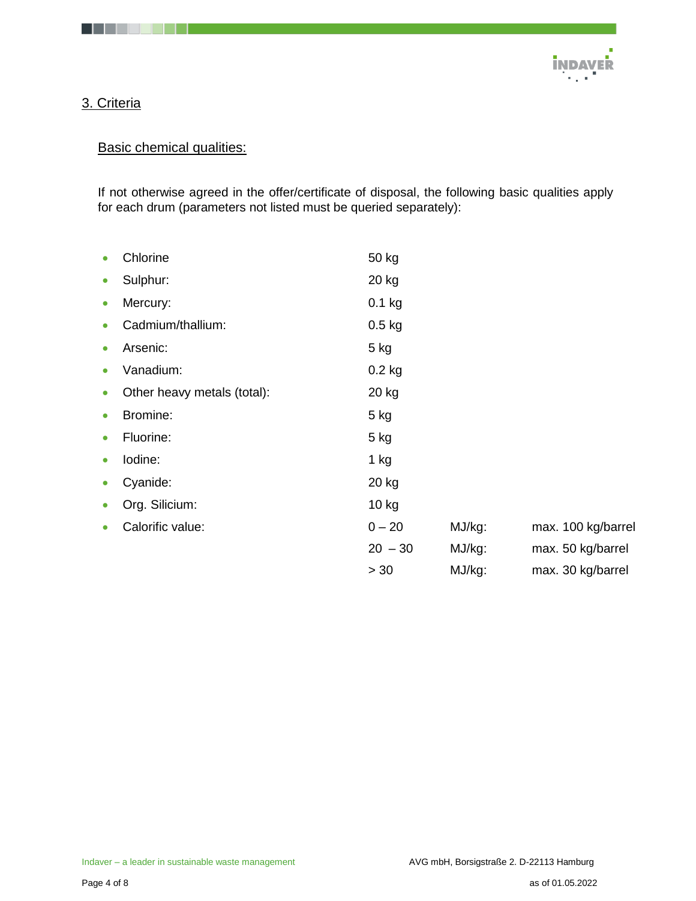

## 3. Criteria

. . .

## **Basic chemical qualities:**

If not otherwise agreed in the offer/certificate of disposal, the following basic qualities apply for each drum (parameters not listed must be queried separately):

| $\bullet$ | Chlorine                    | 50 kg     |        |  |                    |
|-----------|-----------------------------|-----------|--------|--|--------------------|
| $\bullet$ | Sulphur:                    | 20 kg     |        |  |                    |
| $\bullet$ | Mercury:                    | $0.1$ kg  |        |  |                    |
| $\bullet$ | Cadmium/thallium:           | $0.5$ kg  |        |  |                    |
| $\bullet$ | Arsenic:                    | 5 kg      |        |  |                    |
| $\bullet$ | Vanadium:                   | $0.2$ kg  |        |  |                    |
| $\bullet$ | Other heavy metals (total): | 20 kg     |        |  |                    |
| $\bullet$ | Bromine:                    | $5$ kg    |        |  |                    |
| $\bullet$ | Fluorine:                   | 5 kg      |        |  |                    |
| $\bullet$ | lodine:                     | 1 kg      |        |  |                    |
| $\bullet$ | Cyanide:                    | 20 kg     |        |  |                    |
| $\bullet$ | Org. Silicium:              | 10 kg     |        |  |                    |
| $\bullet$ | Calorific value:            | $0 - 20$  | MJ/kg: |  | max. 100 kg/barrel |
|           |                             | $20 - 30$ | MJ/kg: |  | max. 50 kg/barrel  |
|           |                             | > 30      | MJ/kg: |  | max. 30 kg/barrel  |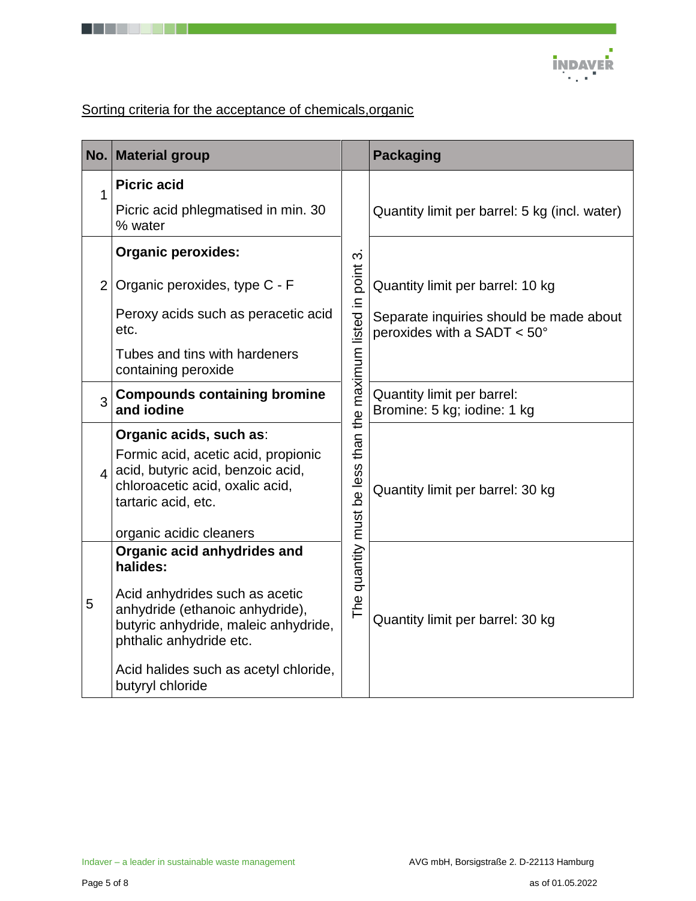# Sorting criteria for the acceptance of chemicals, organic

. . . .

| No.                     | <b>Material group</b>                                                                                                              |                                                                  | <b>Packaging</b>                                                       |
|-------------------------|------------------------------------------------------------------------------------------------------------------------------------|------------------------------------------------------------------|------------------------------------------------------------------------|
| 1                       | <b>Picric acid</b>                                                                                                                 |                                                                  |                                                                        |
|                         | Picric acid phlegmatised in min. 30<br>% water                                                                                     |                                                                  | Quantity limit per barrel: 5 kg (incl. water)                          |
|                         | <b>Organic peroxides:</b>                                                                                                          |                                                                  |                                                                        |
| 2 <sup>1</sup>          | Organic peroxides, type C - F                                                                                                      | than the maximum listed in point 3.<br>The quantity must be less | Quantity limit per barrel: 10 kg                                       |
|                         | Peroxy acids such as peracetic acid<br>etc.                                                                                        |                                                                  | Separate inquiries should be made about<br>peroxides with a SADT < 50° |
|                         | Tubes and tins with hardeners<br>containing peroxide                                                                               |                                                                  |                                                                        |
| 3                       | <b>Compounds containing bromine</b><br>and iodine                                                                                  |                                                                  | Quantity limit per barrel:<br>Bromine: 5 kg; iodine: 1 kg              |
|                         | Organic acids, such as:                                                                                                            |                                                                  |                                                                        |
| $\overline{\mathbf{A}}$ | Formic acid, acetic acid, propionic<br>acid, butyric acid, benzoic acid,<br>chloroacetic acid, oxalic acid,<br>tartaric acid, etc. |                                                                  | Quantity limit per barrel: 30 kg                                       |
|                         | organic acidic cleaners                                                                                                            |                                                                  |                                                                        |
|                         | Organic acid anhydrides and<br>halides:<br>Acid anhydrides such as acetic                                                          |                                                                  |                                                                        |
| 5                       | anhydride (ethanoic anhydride),<br>butyric anhydride, maleic anhydride,<br>phthalic anhydride etc.                                 |                                                                  | Quantity limit per barrel: 30 kg                                       |
|                         | Acid halides such as acetyl chloride,<br>butyryl chloride                                                                          |                                                                  |                                                                        |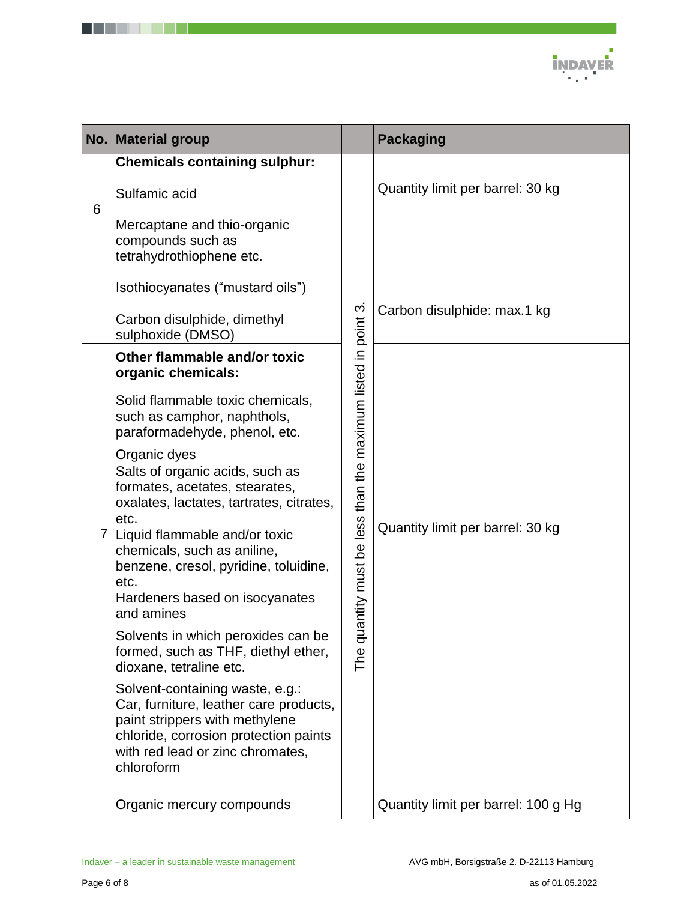

| No. | <b>Material group</b>                                                                                                                                                                                  |                                                        | <b>Packaging</b>                    |
|-----|--------------------------------------------------------------------------------------------------------------------------------------------------------------------------------------------------------|--------------------------------------------------------|-------------------------------------|
|     | <b>Chemicals containing sulphur:</b><br>Sulfamic acid                                                                                                                                                  |                                                        | Quantity limit per barrel: 30 kg    |
| 6   | Mercaptane and thio-organic<br>compounds such as<br>tetrahydrothiophene etc.                                                                                                                           |                                                        |                                     |
|     | Isothiocyanates ("mustard oils")                                                                                                                                                                       |                                                        |                                     |
|     | Carbon disulphide, dimethyl<br>sulphoxide (DMSO)                                                                                                                                                       |                                                        | Carbon disulphide: max.1 kg         |
|     | Other flammable and/or toxic<br>organic chemicals:                                                                                                                                                     |                                                        |                                     |
|     | Solid flammable toxic chemicals,<br>such as camphor, naphthols,<br>paraformadehyde, phenol, etc.                                                                                                       |                                                        |                                     |
|     | Organic dyes<br>Salts of organic acids, such as<br>formates, acetates, stearates,<br>oxalates, lactates, tartrates, citrates,<br>etc.<br>Liquid flammable and/or toxic                                 | antity must be less than the maximum listed in point 3 | Quantity limit per barrel: 30 kg    |
|     | chemicals, such as aniline,<br>benzene, cresol, pyridine, toluidine,<br>etc.<br>Hardeners based on isocyanates                                                                                         |                                                        |                                     |
|     | and amines                                                                                                                                                                                             |                                                        |                                     |
|     | Solvents in which peroxides can be<br>formed, such as THF, diethyl ether,<br>dioxane, tetraline etc.                                                                                                   | ಕ<br>The                                               |                                     |
|     | Solvent-containing waste, e.g.:<br>Car, furniture, leather care products,<br>paint strippers with methylene<br>chloride, corrosion protection paints<br>with red lead or zinc chromates,<br>chloroform |                                                        |                                     |
|     | Organic mercury compounds                                                                                                                                                                              |                                                        | Quantity limit per barrel: 100 g Hg |

. . . . . .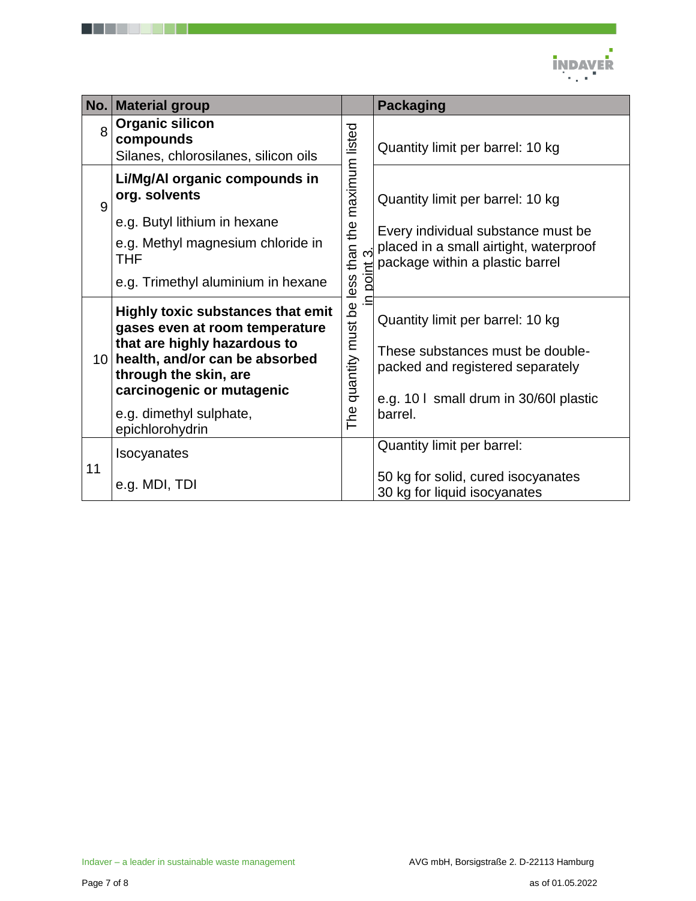

| No. | <b>Material group</b>                                                                                                                                                                                                                            |                                                                                     | <b>Packaging</b>                                                                                                                                             |
|-----|--------------------------------------------------------------------------------------------------------------------------------------------------------------------------------------------------------------------------------------------------|-------------------------------------------------------------------------------------|--------------------------------------------------------------------------------------------------------------------------------------------------------------|
| 8   | <b>Organic silicon</b><br>compounds<br>Silanes, chlorosilanes, silicon oils                                                                                                                                                                      | maximum listed<br>the<br>than t<br>Ħ<br>poil<br>quantity must be less<br><b>PUL</b> | Quantity limit per barrel: 10 kg                                                                                                                             |
| 9   | Li/Mg/Al organic compounds in<br>org. solvents<br>e.g. Butyl lithium in hexane<br>e.g. Methyl magnesium chloride in<br>THF<br>e.g. Trimethyl aluminium in hexane                                                                                 |                                                                                     | Quantity limit per barrel: 10 kg<br>Every individual substance must be<br>placed in a small airtight, waterproof<br>package within a plastic barrel          |
| 10  | <b>Highly toxic substances that emit</b><br>gases even at room temperature<br>that are highly hazardous to<br>health, and/or can be absorbed<br>through the skin, are<br>carcinogenic or mutagenic<br>e.g. dimethyl sulphate,<br>epichlorohydrin |                                                                                     | Quantity limit per barrel: 10 kg<br>These substances must be double-<br>packed and registered separately<br>e.g. 10 I small drum in 30/60 plastic<br>barrel. |
| 11  | <b>Isocyanates</b><br>e.g. MDI, TDI                                                                                                                                                                                                              |                                                                                     | Quantity limit per barrel:<br>50 kg for solid, cured isocyanates<br>30 kg for liquid isocyanates                                                             |

. . . . . .